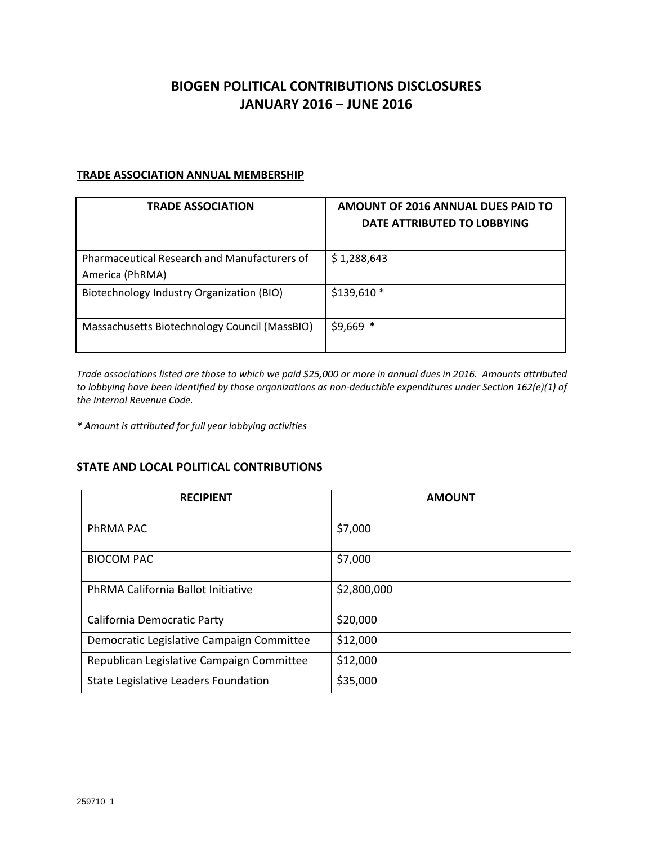## **BIOGEN POLITICAL CONTRIBUTIONS DISCLOSURES JANUARY 2016 – JUNE 2016**

## **TRADE ASSOCIATION ANNUAL MEMBERSHIP**

| <b>TRADE ASSOCIATION</b>                                               | AMOUNT OF 2016 ANNUAL DUES PAID TO<br>DATE ATTRIBUTED TO LOBBYING |
|------------------------------------------------------------------------|-------------------------------------------------------------------|
| <b>Pharmaceutical Research and Manufacturers of</b><br>America (PhRMA) | \$1,288,643                                                       |
| Biotechnology Industry Organization (BIO)                              | $$139,610*$                                                       |
| Massachusetts Biotechnology Council (MassBIO)                          | $$9,669$ *                                                        |

Trade associations listed are those to which we paid \$25,000 or more in annual dues in 2016. Amounts attributed to lobbying have been identified by those organizations as non-deductible expenditures under Section 162(e)(1) of *the Internal Revenue Code.*

*\* Amount is attributed for full year lobbying activities*

## **STATE AND LOCAL POLITICAL CONTRIBUTIONS**

| <b>RECIPIENT</b>                          | <b>AMOUNT</b> |
|-------------------------------------------|---------------|
| PhRMA PAC                                 | \$7,000       |
| <b>BIOCOM PAC</b>                         | \$7,000       |
| PhRMA California Ballot Initiative        | \$2,800,000   |
| California Democratic Party               | \$20,000      |
| Democratic Legislative Campaign Committee | \$12,000      |
| Republican Legislative Campaign Committee | \$12,000      |
| State Legislative Leaders Foundation      | \$35,000      |